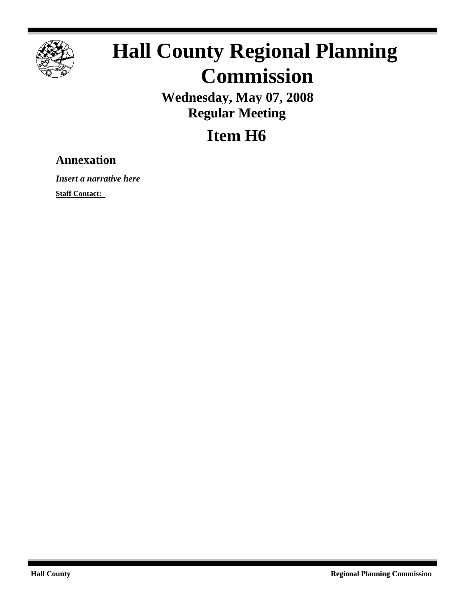

## **Hall County Regional Planning Commission**

**Wednesday, May 07, 2008 Regular Meeting**

## **Item H6**

## **Annexation**

*Insert a narrative here*

**Staff Contact:**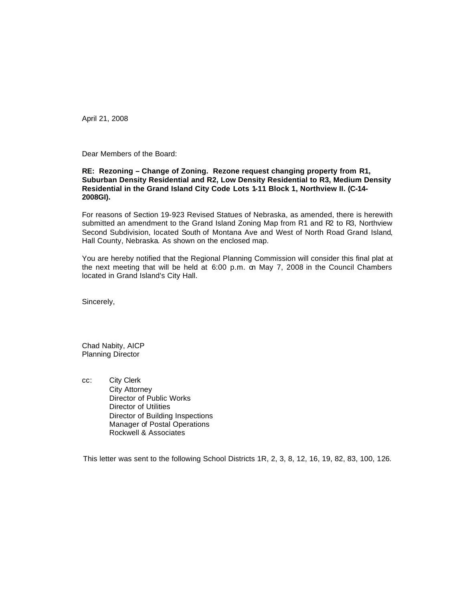April 21, 2008

Dear Members of the Board:

## **RE: Rezoning – Change of Zoning. Rezone request changing property from R1, Suburban Density Residential and R2, Low Density Residential to R3, Medium Density Residential in the Grand Island City Code Lots 1-11 Block 1, Northview II. (C-14- 2008GI).**

For reasons of Section 19-923 Revised Statues of Nebraska, as amended, there is herewith submitted an amendment to the Grand Island Zoning Map from R1 and R2 to R3, Northview Second Subdivision, located South of Montana Ave and West of North Road Grand Island, Hall County, Nebraska. As shown on the enclosed map.

You are hereby notified that the Regional Planning Commission will consider this final plat at the next meeting that will be held at 6:00 p.m. on May 7, 2008 in the Council Chambers located in Grand Island's City Hall.

Sincerely,

Chad Nabity, AICP Planning Director

cc: City Clerk City Attorney Director of Public Works Director of Utilities Director of Building Inspections Manager of Postal Operations Rockwell & Associates

This letter was sent to the following School Districts 1R, 2, 3, 8, 12, 16, 19, 82, 83, 100, 126.